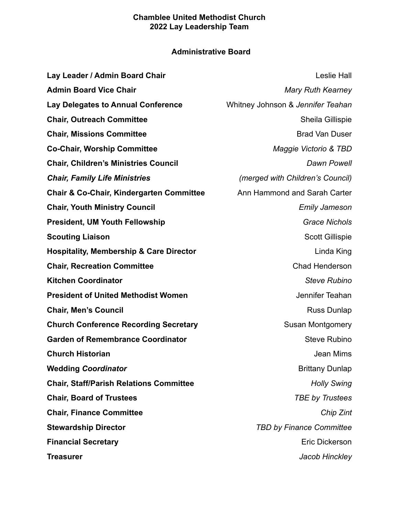# **Administrative Board**

| Lay Leader / Admin Board Chair                      | <b>Leslie Hall</b>                      |
|-----------------------------------------------------|-----------------------------------------|
| <b>Admin Board Vice Chair</b>                       | <b>Mary Ruth Kearney</b>                |
| <b>Lay Delegates to Annual Conference</b>           | Whitney Johnson & Jennifer Teahan       |
| <b>Chair, Outreach Committee</b>                    | Sheila Gillispie                        |
| <b>Chair, Missions Committee</b>                    | <b>Brad Van Duser</b>                   |
| <b>Co-Chair, Worship Committee</b>                  | Maggie Victorio & TBD                   |
| <b>Chair, Children's Ministries Council</b>         | Dawn Powell                             |
| <b>Chair, Family Life Ministries</b>                | <i>(merged with Children's Council)</i> |
| <b>Chair &amp; Co-Chair, Kindergarten Committee</b> | Ann Hammond and Sarah Carter            |
| <b>Chair, Youth Ministry Council</b>                | <b>Emily Jameson</b>                    |
| <b>President, UM Youth Fellowship</b>               | <b>Grace Nichols</b>                    |
| <b>Scouting Liaison</b>                             | <b>Scott Gillispie</b>                  |
| <b>Hospitality, Membership &amp; Care Director</b>  | Linda King                              |
| <b>Chair, Recreation Committee</b>                  | Chad Henderson                          |
| <b>Kitchen Coordinator</b>                          | <b>Steve Rubino</b>                     |
| <b>President of United Methodist Women</b>          | Jennifer Teahan                         |
| <b>Chair, Men's Council</b>                         | <b>Russ Dunlap</b>                      |
| <b>Church Conference Recording Secretary</b>        | <b>Susan Montgomery</b>                 |
| <b>Garden of Remembrance Coordinator</b>            | <b>Steve Rubino</b>                     |
| <b>Church Historian</b>                             | Jean Mims                               |
| <b>Wedding Coordinator</b>                          | <b>Brittany Dunlap</b>                  |
| <b>Chair, Staff/Parish Relations Committee</b>      | <b>Holly Swing</b>                      |
| <b>Chair, Board of Trustees</b>                     | <b>TBE by Trustees</b>                  |
| <b>Chair, Finance Committee</b>                     | Chip Zint                               |
| <b>Stewardship Director</b>                         | <b>TBD by Finance Committee</b>         |
| <b>Financial Secretary</b>                          | Eric Dickerson                          |
| <b>Treasurer</b>                                    | Jacob Hinckley                          |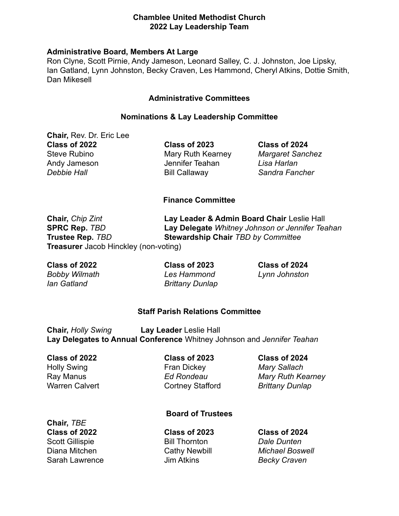#### **Administrative Board, Members At Large**

Ron Clyne, Scott Pirnie, Andy Jameson, Leonard Salley, C. J. Johnston, Joe Lipsky, Ian Gatland, Lynn Johnston, Becky Craven, Les Hammond, Cheryl Atkins, Dottie Smith, Dan Mikesell

### **Administrative Committees**

#### **Nominations & Lay Leadership Committee**

**Chair,** Rev. Dr. Eric Lee **Class of 2022 Class of 2023 Class of 2024** Steve Rubino Mary Ruth Kearney *Margaret Sanchez* Andy Jameson Jennifer Teahan *Lisa Harlan Debbie Hall* Bill Callaway *Sandra Fancher*

### **Finance Committee**

**Chair,** *Chip Zint* **Lay Leader & Admin Board Chair** Leslie Hall **SPRC Rep.** *TBD* **Lay Delegate** *Whitney Johnson or Jennifer Teahan* **Trustee Rep.** *TBD* **Stewardship Chair** *TBD by Committee* **Treasurer** Jacob Hinckley (non-voting)

*Bobby Wilmath Les Hammond Lynn Johnston Ian Gatland Brittany Dunlap*

**Class of 2022 Class of 2023 Class of 2024**

### **Staff Parish Relations Committee**

**Chair,** *Holly Swing* **Lay Leader** Leslie Hall **Lay Delegates to Annual Conference** Whitney Johnson and *Jennifer Teahan*

**Class of 2022 Class of 2023 Class of 2024** Holly Swing Fran Dickey *Mary Sallach* Warren Calvert **Calvert** Cortney Stafford *Brittany Dunlap* 

Ray Manus *Ed Rondeau Mary Ruth Kearney*

### **Board of Trustees**

**Chair,** *TBE* **Class of 2022 Class of 2023 Class of 2024** Scott Gillispie Bill Thornton *Dale Dunten* Sarah Lawrence Jim Atkins *Becky Craven*

Diana Mitchen Cathy Newbill *Michael Boswell*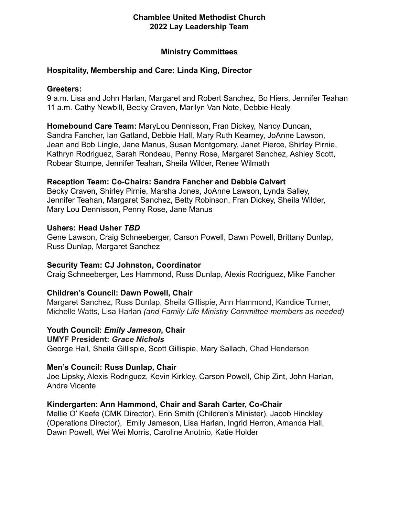## **Ministry Committees**

## **Hospitality, Membership and Care: Linda King, Director**

## **Greeters:**

9 a.m. Lisa and John Harlan, Margaret and Robert Sanchez, Bo Hiers, Jennifer Teahan 11 a.m. Cathy Newbill, Becky Craven, Marilyn Van Note, Debbie Healy

**Homebound Care Team:** MaryLou Dennisson, Fran Dickey, Nancy Duncan, Sandra Fancher, Ian Gatland, Debbie Hall, Mary Ruth Kearney, JoAnne Lawson, Jean and Bob Lingle, Jane Manus, Susan Montgomery, Janet Pierce, Shirley Pirnie, Kathryn Rodriguez, Sarah Rondeau, Penny Rose, Margaret Sanchez, Ashley Scott, Robear Stumpe, Jennifer Teahan, Sheila Wilder, Renee Wilmath

## **Reception Team: Co-Chairs: Sandra Fancher and Debbie Calvert**

Becky Craven, Shirley Pirnie, Marsha Jones, JoAnne Lawson, Lynda Salley, Jennifer Teahan, Margaret Sanchez, Betty Robinson, Fran Dickey, Sheila Wilder, Mary Lou Dennisson, Penny Rose, Jane Manus

## **Ushers: Head Usher** *TBD*

Gene Lawson, Craig Schneeberger, Carson Powell, Dawn Powell, Brittany Dunlap, Russ Dunlap, Margaret Sanchez

## **Security Team: CJ Johnston, Coordinator**

Craig Schneeberger, Les Hammond, Russ Dunlap, Alexis Rodriguez, Mike Fancher

## **Children's Council: Dawn Powell, Chair**

Margaret Sanchez, Russ Dunlap, Sheila Gillispie, Ann Hammond, Kandice Turner, Michelle Watts, Lisa Harlan *(and Family Life Ministry Committee members as needed)*

## **Youth Council:** *Emily Jameson***, Chair**

**UMYF President:** *Grace Nichols* George Hall, Sheila Gillispie, Scott Gillispie, Mary Sallach, Chad Henderson

### **Men's Council: Russ Dunlap, Chair**

Joe Lipsky, Alexis Rodriguez, Kevin Kirkley, Carson Powell, Chip Zint, John Harlan, Andre Vicente

## **Kindergarten: Ann Hammond, Chair and Sarah Carter, Co-Chair**

Mellie O' Keefe (CMK Director), Erin Smith (Children's Minister), Jacob Hinckley (Operations Director), Emily Jameson, Lisa Harlan, Ingrid Herron, Amanda Hall, Dawn Powell, Wei Wei Morris, Caroline Anotnio, Katie Holder